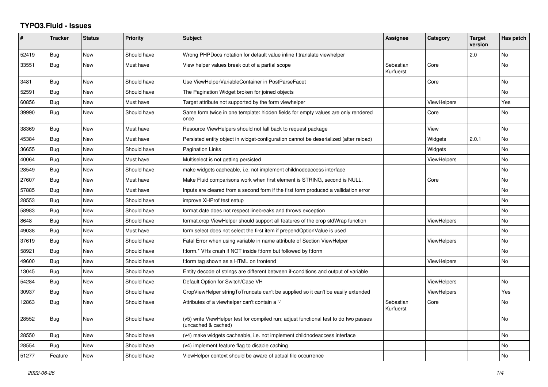## **TYPO3.Fluid - Issues**

| #     | <b>Tracker</b> | <b>Status</b> | <b>Priority</b> | Subject                                                                                                     | Assignee               | Category           | <b>Target</b><br>version | Has patch |
|-------|----------------|---------------|-----------------|-------------------------------------------------------------------------------------------------------------|------------------------|--------------------|--------------------------|-----------|
| 52419 | Bug            | New           | Should have     | Wrong PHPDocs notation for default value inline f:translate viewhelper                                      |                        |                    | 2.0                      | No        |
| 33551 | Bug            | New           | Must have       | View helper values break out of a partial scope                                                             | Sebastian<br>Kurfuerst | Core               |                          | No.       |
| 3481  | Bug            | <b>New</b>    | Should have     | Use ViewHelperVariableContainer in PostParseFacet                                                           |                        | Core               |                          | No        |
| 52591 | Bug            | New           | Should have     | The Pagination Widget broken for joined objects                                                             |                        |                    |                          | No        |
| 60856 | <b>Bug</b>     | <b>New</b>    | Must have       | Target attribute not supported by the form viewhelper                                                       |                        | <b>ViewHelpers</b> |                          | Yes       |
| 39990 | Bug            | <b>New</b>    | Should have     | Same form twice in one template: hidden fields for empty values are only rendered<br>once                   |                        | Core               |                          | No.       |
| 38369 | <b>Bug</b>     | <b>New</b>    | Must have       | Resource ViewHelpers should not fall back to request package                                                |                        | View               |                          | No        |
| 45384 | Bug            | New           | Must have       | Persisted entity object in widget-configuration cannot be deserialized (after reload)                       |                        | Widgets            | 2.0.1                    | No        |
| 36655 | Bug            | New           | Should have     | Pagination Links                                                                                            |                        | Widgets            |                          | No        |
| 40064 | Bug            | New           | Must have       | Multiselect is not getting persisted                                                                        |                        | <b>ViewHelpers</b> |                          | No        |
| 28549 | Bug            | New           | Should have     | make widgets cacheable, i.e. not implement childnodeaccess interface                                        |                        |                    |                          | No        |
| 27607 | Bug            | <b>New</b>    | Must have       | Make Fluid comparisons work when first element is STRING, second is NULL.                                   |                        | Core               |                          | No.       |
| 57885 | Bug            | <b>New</b>    | Must have       | Inputs are cleared from a second form if the first form produced a vallidation error                        |                        |                    |                          | No        |
| 28553 | Bug            | New           | Should have     | improve XHProf test setup                                                                                   |                        |                    |                          | No        |
| 58983 | Bug            | <b>New</b>    | Should have     | format.date does not respect linebreaks and throws exception                                                |                        |                    |                          | No        |
| 8648  | Bug            | New           | Should have     | format.crop ViewHelper should support all features of the crop stdWrap function                             |                        | <b>ViewHelpers</b> |                          | No        |
| 49038 | Bug            | New           | Must have       | form.select does not select the first item if prependOptionValue is used                                    |                        |                    |                          | <b>No</b> |
| 37619 | Bug            | New           | Should have     | Fatal Error when using variable in name attribute of Section ViewHelper                                     |                        | <b>ViewHelpers</b> |                          | No        |
| 58921 | Bug            | New           | Should have     | f:form.* VHs crash if NOT inside f:form but followed by f:form                                              |                        |                    |                          | No        |
| 49600 | Bug            | New           | Should have     | f:form tag shown as a HTML on frontend                                                                      |                        | <b>ViewHelpers</b> |                          | No        |
| 13045 | Bug            | New           | Should have     | Entity decode of strings are different between if-conditions and output of variable                         |                        |                    |                          |           |
| 54284 | Bug            | <b>New</b>    | Should have     | Default Option for Switch/Case VH                                                                           |                        | <b>ViewHelpers</b> |                          | No        |
| 30937 | Bug            | New           | Should have     | CropViewHelper stringToTruncate can't be supplied so it can't be easily extended                            |                        | <b>ViewHelpers</b> |                          | Yes       |
| 12863 | Bug            | New           | Should have     | Attributes of a viewhelper can't contain a '-'                                                              | Sebastian<br>Kurfuerst | Core               |                          | No.       |
| 28552 | Bug            | New           | Should have     | (v5) write ViewHelper test for compiled run; adjust functional test to do two passes<br>(uncached & cached) |                        |                    |                          | No        |
| 28550 | <b>Bug</b>     | New           | Should have     | (v4) make widgets cacheable, i.e. not implement childnodeaccess interface                                   |                        |                    |                          | No        |
| 28554 | Bug            | New           | Should have     | (v4) implement feature flag to disable caching                                                              |                        |                    |                          | No        |
| 51277 | Feature        | New           | Should have     | ViewHelper context should be aware of actual file occurrence                                                |                        |                    |                          | No        |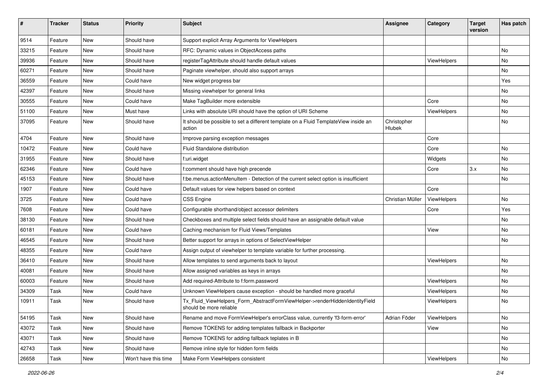| #     | <b>Tracker</b> | <b>Status</b> | <b>Priority</b>      | Subject                                                                                                | <b>Assignee</b>       | Category    | <b>Target</b><br>version | Has patch |
|-------|----------------|---------------|----------------------|--------------------------------------------------------------------------------------------------------|-----------------------|-------------|--------------------------|-----------|
| 9514  | Feature        | New           | Should have          | Support explicit Array Arguments for ViewHelpers                                                       |                       |             |                          |           |
| 33215 | Feature        | New           | Should have          | RFC: Dynamic values in ObjectAccess paths                                                              |                       |             |                          | No        |
| 39936 | Feature        | New           | Should have          | registerTagAttribute should handle default values                                                      |                       | ViewHelpers |                          | No        |
| 60271 | Feature        | New           | Should have          | Paginate viewhelper, should also support arrays                                                        |                       |             |                          | No        |
| 36559 | Feature        | New           | Could have           | New widget progress bar                                                                                |                       |             |                          | Yes       |
| 42397 | Feature        | New           | Should have          | Missing viewhelper for general links                                                                   |                       |             |                          | No        |
| 30555 | Feature        | New           | Could have           | Make TagBuilder more extensible                                                                        |                       | Core        |                          | No        |
| 51100 | Feature        | New           | Must have            | Links with absolute URI should have the option of URI Scheme                                           |                       | ViewHelpers |                          | No        |
| 37095 | Feature        | New           | Should have          | It should be possible to set a different template on a Fluid TemplateView inside an<br>action          | Christopher<br>Hlubek |             |                          | No        |
| 4704  | Feature        | <b>New</b>    | Should have          | Improve parsing exception messages                                                                     |                       | Core        |                          |           |
| 10472 | Feature        | New           | Could have           | Fluid Standalone distribution                                                                          |                       | Core        |                          | No        |
| 31955 | Feature        | New           | Should have          | f:uri.widget                                                                                           |                       | Widgets     |                          | No        |
| 62346 | Feature        | New           | Could have           | f:comment should have high precende                                                                    |                       | Core        | 3.x                      | No        |
| 45153 | Feature        | New           | Should have          | f:be.menus.actionMenuItem - Detection of the current select option is insufficient                     |                       |             |                          | No        |
| 1907  | Feature        | New           | Could have           | Default values for view helpers based on context                                                       |                       | Core        |                          |           |
| 3725  | Feature        | New           | Could have           | <b>CSS Engine</b>                                                                                      | Christian Müller      | ViewHelpers |                          | No        |
| 7608  | Feature        | New           | Could have           | Configurable shorthand/object accessor delimiters                                                      |                       | Core        |                          | Yes       |
| 38130 | Feature        | <b>New</b>    | Should have          | Checkboxes and multiple select fields should have an assignable default value                          |                       |             |                          | No.       |
| 60181 | Feature        | New           | Could have           | Caching mechanism for Fluid Views/Templates                                                            |                       | View        |                          | No        |
| 46545 | Feature        | New           | Should have          | Better support for arrays in options of SelectViewHelper                                               |                       |             |                          | No        |
| 48355 | Feature        | New           | Could have           | Assign output of viewhelper to template variable for further processing.                               |                       |             |                          |           |
| 36410 | Feature        | New           | Should have          | Allow templates to send arguments back to layout                                                       |                       | ViewHelpers |                          | No        |
| 40081 | Feature        | New           | Should have          | Allow assigned variables as keys in arrays                                                             |                       |             |                          | No        |
| 60003 | Feature        | New           | Should have          | Add required-Attribute to f:form.password                                                              |                       | ViewHelpers |                          | No        |
| 34309 | Task           | New           | Could have           | Unknown ViewHelpers cause exception - should be handled more graceful                                  |                       | ViewHelpers |                          | No        |
| 10911 | Task           | New           | Should have          | Tx_Fluid_ViewHelpers_Form_AbstractFormViewHelper->renderHiddenIdentityField<br>should be more reliable |                       | ViewHelpers |                          | No        |
| 54195 | Task           | New           | Should have          | Rename and move FormViewHelper's errorClass value, currently 'f3-form-error'                           | Adrian Föder          | ViewHelpers |                          | No        |
| 43072 | Task           | New           | Should have          | Remove TOKENS for adding templates fallback in Backporter                                              |                       | View        |                          | No        |
| 43071 | Task           | New           | Should have          | Remove TOKENS for adding fallback teplates in B                                                        |                       |             |                          | No        |
| 42743 | Task           | New           | Should have          | Remove inline style for hidden form fields                                                             |                       |             |                          | No        |
| 26658 | Task           | New           | Won't have this time | Make Form ViewHelpers consistent                                                                       |                       | ViewHelpers |                          | No        |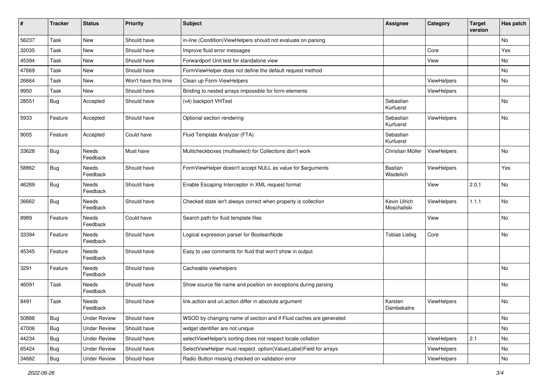| #     | <b>Tracker</b> | <b>Status</b>       | <b>Priority</b>      | Subject                                                            | <b>Assignee</b>             | Category    | <b>Target</b><br>version | Has patch |
|-------|----------------|---------------------|----------------------|--------------------------------------------------------------------|-----------------------------|-------------|--------------------------|-----------|
| 56237 | Task           | New                 | Should have          | in-line (Condition) View Helpers should not evaluate on parsing    |                             |             |                          | No        |
| 32035 | Task           | New                 | Should have          | Improve fluid error messages                                       |                             | Core        |                          | Yes       |
| 45394 | Task           | New                 | Should have          | Forwardport Unit test for standalone view                          |                             | View        |                          | No        |
| 47669 | Task           | New                 | Should have          | FormViewHelper does not define the default request method          |                             |             |                          | No        |
| 26664 | Task           | New                 | Won't have this time | Clean up Form ViewHelpers                                          |                             | ViewHelpers |                          | No        |
| 9950  | Task           | New                 | Should have          | Binding to nested arrays impossible for form-elements              |                             | ViewHelpers |                          |           |
| 28551 | Bug            | Accepted            | Should have          | (v4) backport VHTest                                               | Sebastian<br>Kurfuerst      |             |                          | No        |
| 5933  | Feature        | Accepted            | Should have          | Optional section rendering                                         | Sebastian<br>Kurfuerst      | ViewHelpers |                          | No        |
| 9005  | Feature        | Accepted            | Could have           | Fluid Template Analyzer (FTA)                                      | Sebastian<br>Kurfuerst      |             |                          |           |
| 33628 | <b>Bug</b>     | Needs<br>Feedback   | Must have            | Multicheckboxes (multiselect) for Collections don't work           | Christian Müller            | ViewHelpers |                          | No        |
| 58862 | Bug            | Needs<br>Feedback   | Should have          | FormViewHelper doesn't accept NULL as value for \$arguments        | <b>Bastian</b><br>Waidelich | ViewHelpers |                          | Yes       |
| 46289 | <b>Bug</b>     | Needs<br>Feedback   | Should have          | Enable Escaping Interceptor in XML request format                  |                             | View        | 2.0.1                    | <b>No</b> |
| 36662 | Bug            | Needs<br>Feedback   | Should have          | Checked state isn't always correct when property is collection     | Kevin Ulrich<br>Moschallski | ViewHelpers | 1.1.1                    | <b>No</b> |
| 8989  | Feature        | Needs<br>Feedback   | Could have           | Search path for fluid template files                               |                             | View        |                          | <b>No</b> |
| 33394 | Feature        | Needs<br>Feedback   | Should have          | Logical expression parser for BooleanNode                          | <b>Tobias Liebig</b>        | Core        |                          | No        |
| 45345 | Feature        | Needs<br>Feedback   | Should have          | Easy to use comments for fluid that won't show in output           |                             |             |                          |           |
| 3291  | Feature        | Needs<br>Feedback   | Should have          | Cacheable viewhelpers                                              |                             |             |                          | No        |
| 46091 | Task           | Needs<br>Feedback   | Should have          | Show source file name and position on exceptions during parsing    |                             |             |                          | No        |
| 8491  | Task           | Needs<br>Feedback   | Should have          | link.action and uri.action differ in absolute argument             | Karsten<br>Dambekalns       | ViewHelpers |                          | No        |
| 50888 | <b>Bug</b>     | <b>Under Review</b> | Should have          | WSOD by changing name of section and if Fluid caches are generated |                             |             |                          | No        |
| 47006 | <b>Bug</b>     | <b>Under Review</b> | Should have          | widget identifier are not unique                                   |                             |             |                          | No        |
| 44234 | <b>Bug</b>     | <b>Under Review</b> | Should have          | selectViewHelper's sorting does not respect locale collation       |                             | ViewHelpers | 2.1                      | No        |
| 65424 | Bug            | <b>Under Review</b> | Should have          | SelectViewHelper must respect option(Value Label)Field for arrays  |                             | ViewHelpers |                          | No        |
| 34682 | Bug            | <b>Under Review</b> | Should have          | Radio Button missing checked on validation error                   |                             | ViewHelpers |                          | No        |